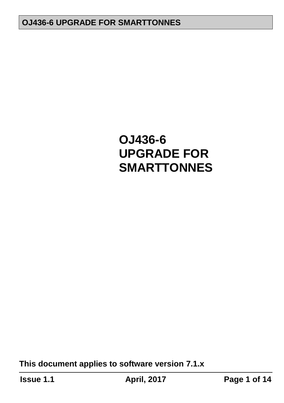**This document applies to software version 7.1.x**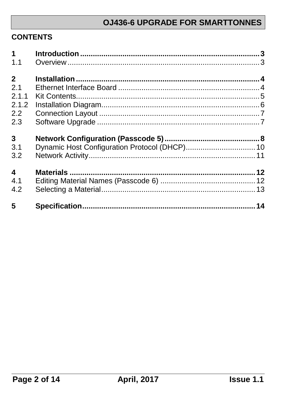#### **CONTENTS**

| 1                       |  |
|-------------------------|--|
| 1.1                     |  |
|                         |  |
| $2^{\circ}$             |  |
| 2.1                     |  |
| 2.1.1                   |  |
| 2.1.2                   |  |
| 2.2                     |  |
| 2.3                     |  |
|                         |  |
| $\mathbf{3}$            |  |
| 3.1                     |  |
| 3.2                     |  |
|                         |  |
| $\overline{\mathbf{4}}$ |  |
| 4.1                     |  |
| 4.2                     |  |
|                         |  |
| 5                       |  |
|                         |  |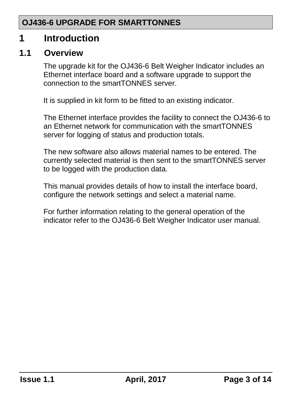## <span id="page-2-0"></span>**1 Introduction**

#### <span id="page-2-1"></span>**1.1 Overview**

The upgrade kit for the OJ436-6 Belt Weigher Indicator includes an Ethernet interface board and a software upgrade to support the connection to the smartTONNES server.

It is supplied in kit form to be fitted to an existing indicator.

The Ethernet interface provides the facility to connect the OJ436-6 to an Ethernet network for communication with the smartTONNES server for logging of status and production totals.

The new software also allows material names to be entered. The currently selected material is then sent to the smartTONNES server to be logged with the production data.

This manual provides details of how to install the interface board, configure the network settings and select a material name.

For further information relating to the general operation of the indicator refer to the OJ436-6 Belt Weigher Indicator user manual.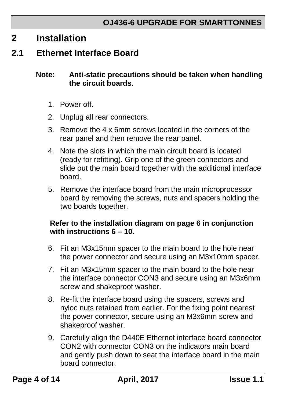## <span id="page-3-0"></span>**2 Installation**

#### <span id="page-3-1"></span>**2.1 Ethernet Interface Board**

#### **Note: Anti-static precautions should be taken when handling the circuit boards.**

- 1. Power off.
- 2. Unplug all rear connectors.
- 3. Remove the 4 x 6mm screws located in the corners of the rear panel and then remove the rear panel.
- 4. Note the slots in which the main circuit board is located (ready for refitting). Grip one of the green connectors and slide out the main board together with the additional interface board.
- 5. Remove the interface board from the main microprocessor board by removing the screws, nuts and spacers holding the two boards together.

#### **Refer to the installation diagram on page [6](#page-5-0) in conjunction with instructions 6 – 10.**

- 6. Fit an M3x15mm spacer to the main board to the hole near the power connector and secure using an M3x10mm spacer.
- 7. Fit an M3x15mm spacer to the main board to the hole near the interface connector CON3 and secure using an M3x6mm screw and shakeproof washer.
- 8. Re-fit the interface board using the spacers, screws and nyloc nuts retained from earlier. For the fixing point nearest the power connector, secure using an M3x6mm screw and shakeproof washer.
- 9. Carefully align the D440E Ethernet interface board connector CON2 with connector CON3 on the indicators main board and gently push down to seat the interface board in the main board connector.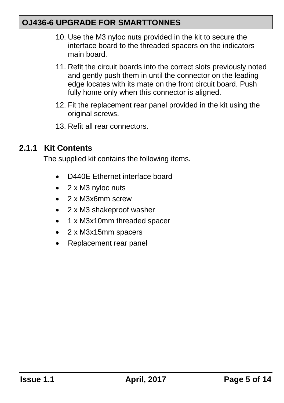- 10. Use the M3 nyloc nuts provided in the kit to secure the interface board to the threaded spacers on the indicators main board.
- 11. Refit the circuit boards into the correct slots previously noted and gently push them in until the connector on the leading edge locates with its mate on the front circuit board. Push fully home only when this connector is aligned.
- 12. Fit the replacement rear panel provided in the kit using the original screws.
- 13. Refit all rear connectors.

#### <span id="page-4-0"></span>**2.1.1 Kit Contents**

The supplied kit contains the following items.

- D440E Ethernet interface board
- 2 x M3 nyloc nuts
- 2 x M3x6mm screw
- 2 x M3 shakeproof washer
- 1 x M3x10mm threaded spacer
- 2 x M3x15mm spacers
- Replacement rear panel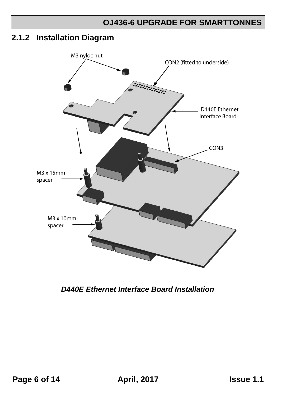#### <span id="page-5-0"></span>**2.1.2 Installation Diagram**



*D440E Ethernet Interface Board Installation*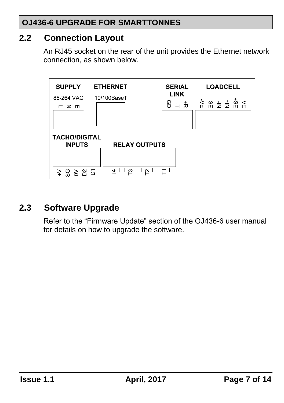#### <span id="page-6-0"></span>**2.2 Connection Layout**

An RJ45 socket on the rear of the unit provides the Ethernet network connection, as shown below.



## <span id="page-6-1"></span>**2.3 Software Upgrade**

Refer to the "Firmware Update" section of the OJ436-6 user manual for details on how to upgrade the software.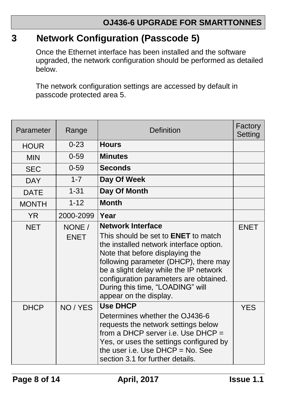## <span id="page-7-0"></span>**3 Network Configuration (Passcode 5)**

Once the Ethernet interface has been installed and the software upgraded, the network configuration should be performed as detailed below.

The network configuration settings are accessed by default in passcode protected area 5.

| Parameter    | Range                 | Definition                                                                                                                                                                                                                                                                                                                                      | Factory<br><b>Setting</b> |
|--------------|-----------------------|-------------------------------------------------------------------------------------------------------------------------------------------------------------------------------------------------------------------------------------------------------------------------------------------------------------------------------------------------|---------------------------|
| <b>HOUR</b>  | $0 - 23$              | <b>Hours</b>                                                                                                                                                                                                                                                                                                                                    |                           |
| <b>MIN</b>   | $0 - 59$              | <b>Minutes</b>                                                                                                                                                                                                                                                                                                                                  |                           |
| <b>SEC</b>   | $0 - 59$              | <b>Seconds</b>                                                                                                                                                                                                                                                                                                                                  |                           |
| <b>DAY</b>   | $1 - 7$               | Day Of Week                                                                                                                                                                                                                                                                                                                                     |                           |
| <b>DATE</b>  | $1 - 31$              | Day Of Month                                                                                                                                                                                                                                                                                                                                    |                           |
| <b>MONTH</b> | $1 - 12$              | <b>Month</b>                                                                                                                                                                                                                                                                                                                                    |                           |
| <b>YR</b>    | 2000-2099             | Year                                                                                                                                                                                                                                                                                                                                            |                           |
| <b>NET</b>   | NONE /<br><b>ENET</b> | <b>Network Interface</b><br>This should be set to <b>ENET</b> to match<br>the installed network interface option.<br>Note that before displaying the<br>following parameter (DHCP), there may<br>be a slight delay while the IP network<br>configuration parameters are obtained.<br>During this time, "LOADING" will<br>appear on the display. | <b>ENET</b>               |
| <b>DHCP</b>  | NO / YES              | <b>Use DHCP</b><br>Determines whether the OJ436-6<br>requests the network settings below<br>from a DHCP server i.e. Use $DHCP =$<br>Yes, or uses the settings configured by<br>the user i.e. Use $DHCP = No$ . See<br>section 3.1 for further details.                                                                                          | <b>YES</b>                |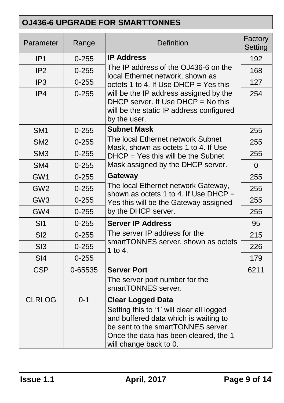| Parameter       | Range     | <b>Definition</b>                                                                                                                                                                                                       | Factory<br>Setting |
|-----------------|-----------|-------------------------------------------------------------------------------------------------------------------------------------------------------------------------------------------------------------------------|--------------------|
| IP <sub>1</sub> | $0 - 255$ | <b>IP Address</b>                                                                                                                                                                                                       | 192                |
| IP <sub>2</sub> | $0 - 255$ | The IP address of the OJ436-6 on the                                                                                                                                                                                    | 168                |
| IP <sub>3</sub> | $0 - 255$ | local Ethernet network, shown as<br>octets 1 to 4. If Use $DHCP = Yes$ this                                                                                                                                             | 127                |
| IP4             | $0 - 255$ | will be the IP address assigned by the<br>DHCP server. If Use $DHCP = No$ this<br>will be the static IP address configured<br>by the user.                                                                              | 254                |
| SM <sub>1</sub> | $0 - 255$ | <b>Subnet Mask</b>                                                                                                                                                                                                      | 255                |
| SM <sub>2</sub> | $0 - 255$ | The local Ethernet network Subnet<br>Mask, shown as octets 1 to 4. If Use                                                                                                                                               | 255                |
| SM <sub>3</sub> | $0 - 255$ | $DHCP = Yes$ this will be the Subnet                                                                                                                                                                                    | 255                |
| SM4             | $0 - 255$ | Mask assigned by the DHCP server.                                                                                                                                                                                       | $\Omega$           |
| GW1             | $0 - 255$ | <b>Gateway</b>                                                                                                                                                                                                          | 255                |
| GW <sub>2</sub> | $0 - 255$ | The local Ethernet network Gateway,<br>shown as octets 1 to 4. If Use $DHCP =$                                                                                                                                          | 255                |
| GW <sub>3</sub> | $0 - 255$ | Yes this will be the Gateway assigned                                                                                                                                                                                   | 255                |
| GW4             | $0 - 255$ | by the DHCP server.                                                                                                                                                                                                     | 255                |
| SI1             | $0 - 255$ | <b>Server IP Address</b>                                                                                                                                                                                                | 95                 |
| SI <sub>2</sub> | $0 - 255$ | The server IP address for the                                                                                                                                                                                           | 215                |
| S <sub>13</sub> | $0 - 255$ | smartTONNES server, shown as octets<br>1 to 4.                                                                                                                                                                          | 226                |
| SI4             | $0 - 255$ |                                                                                                                                                                                                                         | 179                |
| <b>CSP</b>      | 0-65535   | <b>Server Port</b>                                                                                                                                                                                                      | 6211               |
|                 |           | The server port number for the<br>smartTONNES server.                                                                                                                                                                   |                    |
| <b>CLRLOG</b>   | $0 - 1$   | <b>Clear Logged Data</b><br>Setting this to '1' will clear all logged<br>and buffered data which is waiting to<br>be sent to the smartTONNES server.<br>Once the data has been cleared, the 1<br>will change back to 0. |                    |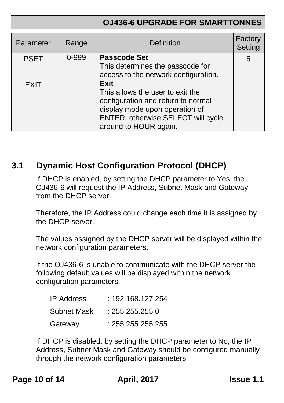| Parameter   | Range | <b>Definition</b>                                                                                                                                                                      | Factory<br>Setting |
|-------------|-------|----------------------------------------------------------------------------------------------------------------------------------------------------------------------------------------|--------------------|
| <b>PSET</b> | 0-999 | <b>Passcode Set</b><br>This determines the passcode for<br>access to the network configuration.                                                                                        | 5                  |
| <b>EXIT</b> |       | <b>Exit</b><br>This allows the user to exit the<br>configuration and return to normal<br>display mode upon operation of<br>ENTER, otherwise SELECT will cycle<br>around to HOUR again. |                    |

## <span id="page-9-0"></span>**3.1 Dynamic Host Configuration Protocol (DHCP)**

If DHCP is enabled, by setting the DHCP parameter to Yes, the OJ436-6 will request the IP Address, Subnet Mask and Gateway from the DHCP server.

Therefore, the IP Address could change each time it is assigned by the DHCP server.

The values assigned by the DHCP server will be displayed within the network configuration parameters.

If the OJ436-6 is unable to communicate with the DHCP server the following default values will be displayed within the network configuration parameters.

| <b>IP Address</b> | : 192.168.127.254 |
|-------------------|-------------------|
| Subnet Mask       | : 255.255.255.0   |
| Gateway           | : 255.255.255.255 |

If DHCP is disabled, by setting the DHCP parameter to No, the IP Address, Subnet Mask and Gateway should be configured manually through the network configuration parameters.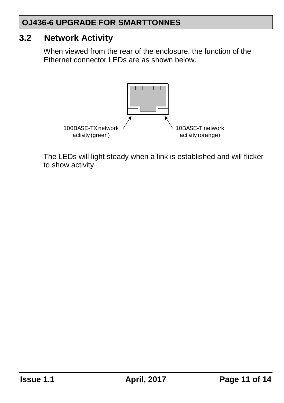#### <span id="page-10-0"></span>**3.2 Network Activity**

When viewed from the rear of the enclosure, the function of the Ethernet connector LEDs are as shown below.



The LEDs will light steady when a link is established and will flicker to show activity.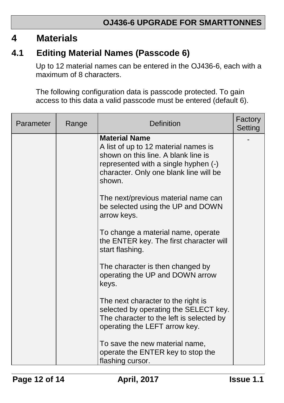## <span id="page-11-0"></span>**4 Materials**

## <span id="page-11-1"></span>**4.1 Editing Material Names (Passcode 6)**

Up to 12 material names can be entered in the OJ436-6, each with a maximum of 8 characters.

The following configuration data is passcode protected. To gain access to this data a valid passcode must be entered (default 6).

| Parameter | Range | Definition                                                                                                                                                                                      | Factory<br>Setting |
|-----------|-------|-------------------------------------------------------------------------------------------------------------------------------------------------------------------------------------------------|--------------------|
|           |       | <b>Material Name</b><br>A list of up to 12 material names is<br>shown on this line. A blank line is<br>represented with a single hyphen (-)<br>character. Only one blank line will be<br>shown. |                    |
|           |       | The next/previous material name can<br>be selected using the UP and DOWN<br>arrow keys.                                                                                                         |                    |
|           |       | To change a material name, operate<br>the ENTER key. The first character will<br>start flashing.                                                                                                |                    |
|           |       | The character is then changed by<br>operating the UP and DOWN arrow<br>keys.                                                                                                                    |                    |
|           |       | The next character to the right is<br>selected by operating the SELECT key.<br>The character to the left is selected by<br>operating the LEFT arrow key.                                        |                    |
|           |       | To save the new material name,<br>operate the ENTER key to stop the<br>flashing cursor.                                                                                                         |                    |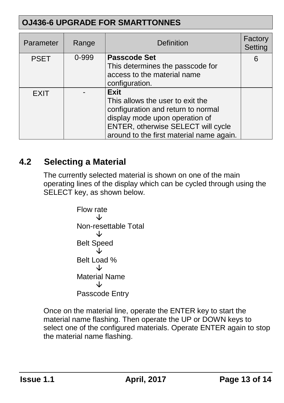| Parameter   | Range | <b>Definition</b>                                                                                                                                                                                         | Factory<br>Setting |
|-------------|-------|-----------------------------------------------------------------------------------------------------------------------------------------------------------------------------------------------------------|--------------------|
| <b>PSET</b> | 0-999 | <b>Passcode Set</b><br>This determines the passcode for<br>access to the material name<br>configuration.                                                                                                  | 6                  |
| <b>EXIT</b> |       | <b>Exit</b><br>This allows the user to exit the<br>configuration and return to normal<br>display mode upon operation of<br>ENTER, otherwise SELECT will cycle<br>around to the first material name again. |                    |

## <span id="page-12-0"></span>**4.2 Selecting a Material**

The currently selected material is shown on one of the main operating lines of the display which can be cycled through using the SELECT key, as shown below.

Flow rate Non-resettable Total Belt Speed Belt Load % Material Name Passcode Entry

Once on the material line, operate the ENTER key to start the material name flashing. Then operate the UP or DOWN keys to select one of the configured materials. Operate ENTER again to stop the material name flashing.